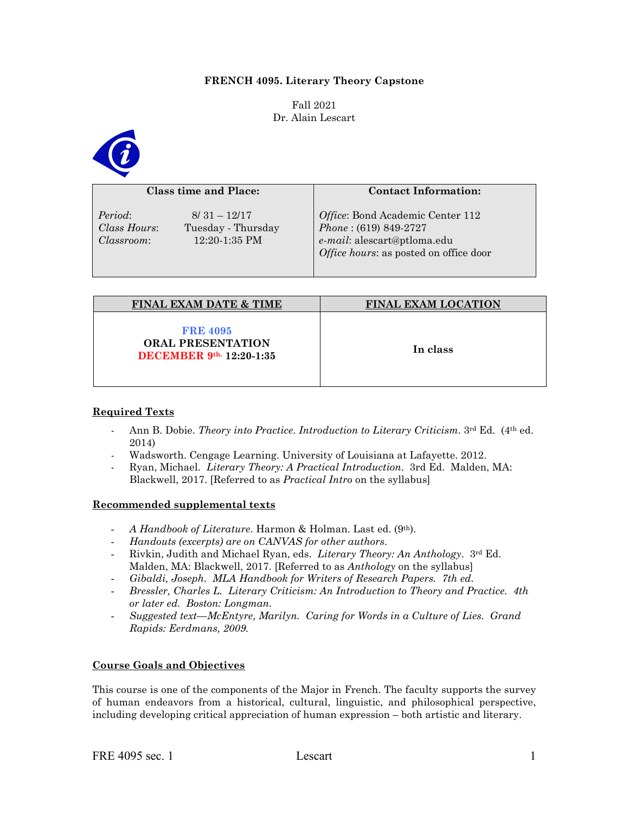## **FRENCH 4095. Literary Theory Capstone**

Fall 2021 Dr. Alain Lescart



#### **Class time and Place:**

*Period*: 8/ 31 – 12/17

*Class Hours*: Tuesday - Thursday *Classroom*: 12:20-1:35 PM

#### **Contact Information:**

*Office*: Bond Academic Center 112 *Phone* : (619) 849-2727 *e-mail*: alescart@ptloma.edu *Office hours*: as posted on office door

| <b>FINAL EXAM DATE &amp; TIME</b>                                              | <b>FINAL EXAM LOCATION</b> |
|--------------------------------------------------------------------------------|----------------------------|
| <b>FRE 4095</b><br><b>ORAL PRESENTATION</b><br><b>DECEMBER</b> 9th. 12:20-1:35 | In class                   |

### **Required Texts**

- Ann B. Dobie. *Theory into Practice*. *Introduction to Literary Criticism.* 3rd Ed. (4th ed. 2014)
- Wadsworth. Cengage Learning. University of Louisiana at Lafayette. 2012.
- Ryan, Michael. *Literary Theory: A Practical Introduction*. 3rd Ed. Malden, MA: Blackwell, 2017. [Referred to as *Practical Intro* on the syllabus]

### **Recommended supplemental texts**

- *A Handbook of Literature*. Harmon & Holman. Last ed. (9th).
- *Handouts (excerpts) are on CANVAS for other authors*.
- Rivkin, Judith and Michael Ryan, eds. *Literary Theory: An Anthology*. 3rd Ed. Malden, MA: Blackwell, 2017. [Referred to as *Anthology* on the syllabus]
- *Gibaldi, Joseph. MLA Handbook for Writers of Research Papers. 7th ed.*
- *Bressler, Charles L. Literary Criticism: An Introduction to Theory and Practice. 4th or later ed. Boston: Longman.*
- *Suggested text—McEntyre, Marilyn. Caring for Words in a Culture of Lies. Grand Rapids: Eerdmans, 2009.*

# **Course Goals and Objectives**

This course is one of the components of the Major in French. The faculty supports the survey of human endeavors from a historical, cultural, linguistic, and philosophical perspective, including developing critical appreciation of human expression – both artistic and literary.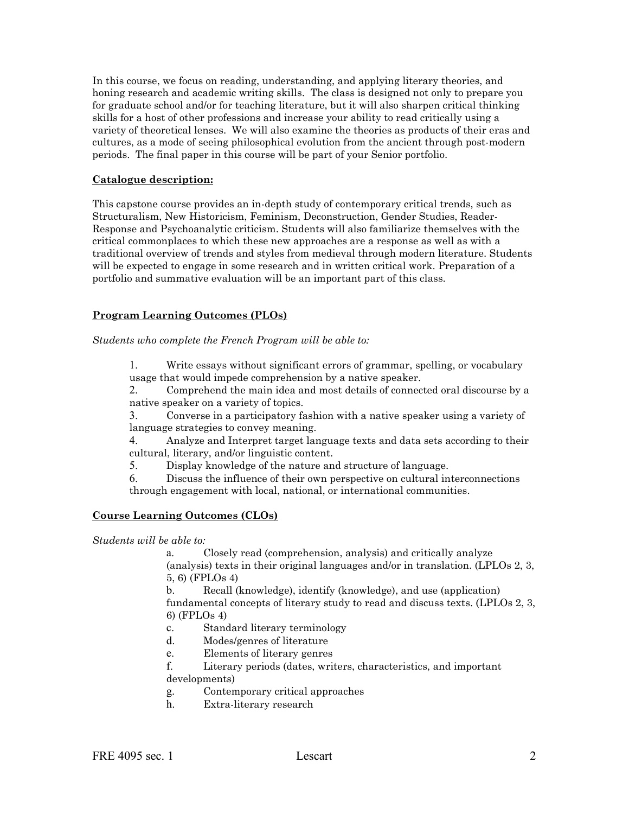In this course, we focus on reading, understanding, and applying literary theories, and honing research and academic writing skills. The class is designed not only to prepare you for graduate school and/or for teaching literature, but it will also sharpen critical thinking skills for a host of other professions and increase your ability to read critically using a variety of theoretical lenses. We will also examine the theories as products of their eras and cultures, as a mode of seeing philosophical evolution from the ancient through post-modern periods. The final paper in this course will be part of your Senior portfolio.

## **Catalogue description:**

This capstone course provides an in-depth study of contemporary critical trends, such as Structuralism, New Historicism, Feminism, Deconstruction, Gender Studies, Reader-Response and Psychoanalytic criticism. Students will also familiarize themselves with the critical commonplaces to which these new approaches are a response as well as with a traditional overview of trends and styles from medieval through modern literature. Students will be expected to engage in some research and in written critical work. Preparation of a portfolio and summative evaluation will be an important part of this class.

### **Program Learning Outcomes (PLOs)**

*Students who complete the French Program will be able to:* 

1. Write essays without significant errors of grammar, spelling, or vocabulary usage that would impede comprehension by a native speaker.

2. Comprehend the main idea and most details of connected oral discourse by a native speaker on a variety of topics.

3. Converse in a participatory fashion with a native speaker using a variety of language strategies to convey meaning.

4. Analyze and Interpret target language texts and data sets according to their cultural, literary, and/or linguistic content.

5. Display knowledge of the nature and structure of language.

6. Discuss the influence of their own perspective on cultural interconnections through engagement with local, national, or international communities.

### **Course Learning Outcomes (CLOs)**

*Students will be able to:* 

Closely read (comprehension, analysis) and critically analyze (analysis) texts in their original languages and/or in translation. (LPLOs 2, 3, 5, 6) (FPLOs 4)

b. Recall (knowledge), identify (knowledge), and use (application) fundamental concepts of literary study to read and discuss texts. (LPLOs 2, 3, 6) (FPLOs 4)

- c. Standard literary terminology
- d. Modes/genres of literature
- e. Elements of literary genres

f. Literary periods (dates, writers, characteristics, and important developments)

- g. Contemporary critical approaches
- h. Extra-literary research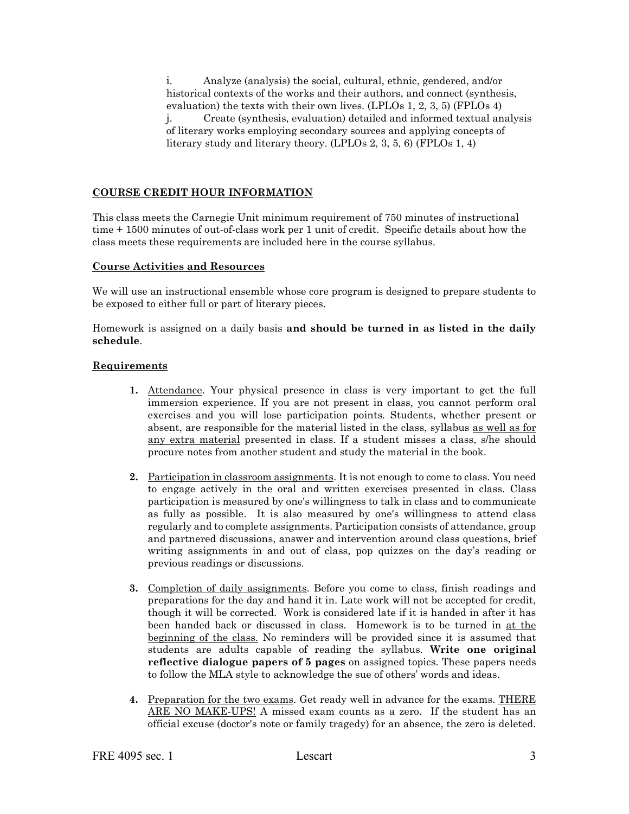i. Analyze (analysis) the social, cultural, ethnic, gendered, and/or historical contexts of the works and their authors, and connect (synthesis, evaluation) the texts with their own lives. (LPLOs 1, 2, 3, 5) (FPLOs 4) j. Create (synthesis, evaluation) detailed and informed textual analysis of literary works employing secondary sources and applying concepts of literary study and literary theory. (LPLOs 2, 3, 5, 6) (FPLOs 1, 4)

# **COURSE CREDIT HOUR INFORMATION**

This class meets the Carnegie Unit minimum requirement of 750 minutes of instructional time + 1500 minutes of out-of-class work per 1 unit of credit. Specific details about how the class meets these requirements are included here in the course syllabus.

### **Course Activities and Resources**

We will use an instructional ensemble whose core program is designed to prepare students to be exposed to either full or part of literary pieces.

Homework is assigned on a daily basis **and should be turned in as listed in the daily schedule**.

### **Requirements**

- **1.** Attendance. Your physical presence in class is very important to get the full immersion experience. If you are not present in class, you cannot perform oral exercises and you will lose participation points. Students, whether present or absent, are responsible for the material listed in the class, syllabus as well as for any extra material presented in class. If a student misses a class, s/he should procure notes from another student and study the material in the book.
- **2.** Participation in classroom assignments. It is not enough to come to class. You need to engage actively in the oral and written exercises presented in class. Class participation is measured by one's willingness to talk in class and to communicate as fully as possible. It is also measured by one's willingness to attend class regularly and to complete assignments. Participation consists of attendance, group and partnered discussions, answer and intervention around class questions, brief writing assignments in and out of class, pop quizzes on the day's reading or previous readings or discussions.
- **3.** Completion of daily assignments. Before you come to class, finish readings and preparations for the day and hand it in. Late work will not be accepted for credit, though it will be corrected. Work is considered late if it is handed in after it has been handed back or discussed in class. Homework is to be turned in at the beginning of the class. No reminders will be provided since it is assumed that students are adults capable of reading the syllabus. **Write one original reflective dialogue papers of 5 pages** on assigned topics. These papers needs to follow the MLA style to acknowledge the sue of others' words and ideas.
- **4.** Preparation for the two exams. Get ready well in advance for the exams. THERE ARE NO MAKE-UPS! A missed exam counts as a zero. If the student has an official excuse (doctor's note or family tragedy) for an absence, the zero is deleted.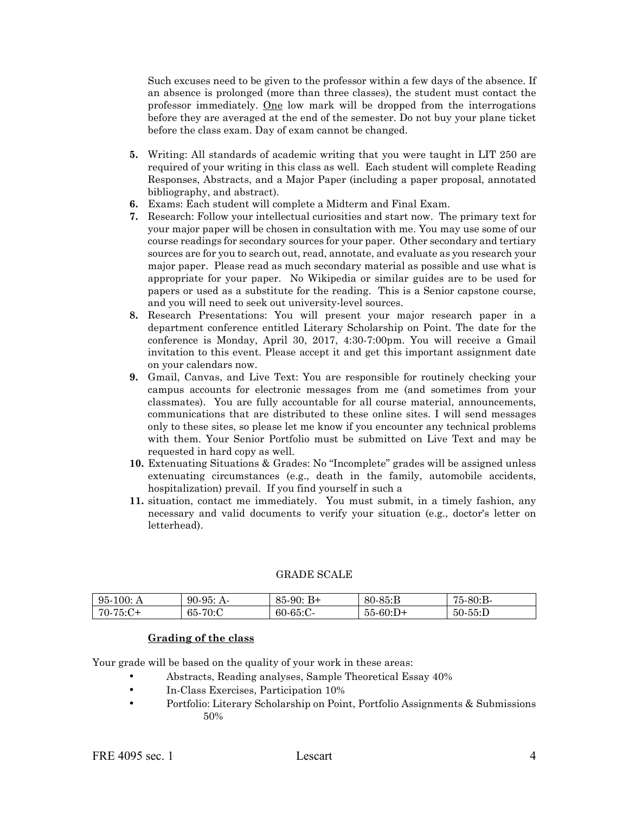Such excuses need to be given to the professor within a few days of the absence. If an absence is prolonged (more than three classes), the student must contact the professor immediately. One low mark will be dropped from the interrogations before they are averaged at the end of the semester. Do not buy your plane ticket before the class exam. Day of exam cannot be changed.

- **5.** Writing: All standards of academic writing that you were taught in LIT 250 are required of your writing in this class as well. Each student will complete Reading Responses, Abstracts, and a Major Paper (including a paper proposal, annotated bibliography, and abstract).
- **6.** Exams: Each student will complete a Midterm and Final Exam.
- **7.** Research: Follow your intellectual curiosities and start now. The primary text for your major paper will be chosen in consultation with me. You may use some of our course readings for secondary sources for your paper. Other secondary and tertiary sources are for you to search out, read, annotate, and evaluate as you research your major paper. Please read as much secondary material as possible and use what is appropriate for your paper. No Wikipedia or similar guides are to be used for papers or used as a substitute for the reading. This is a Senior capstone course, and you will need to seek out university-level sources.
- **8.** Research Presentations: You will present your major research paper in a department conference entitled Literary Scholarship on Point. The date for the conference is Monday, April 30, 2017, 4:30-7:00pm. You will receive a Gmail invitation to this event. Please accept it and get this important assignment date on your calendars now.
- **9.** Gmail, Canvas, and Live Text: You are responsible for routinely checking your campus accounts for electronic messages from me (and sometimes from your classmates). You are fully accountable for all course material, announcements, communications that are distributed to these online sites. I will send messages only to these sites, so please let me know if you encounter any technical problems with them. Your Senior Portfolio must be submitted on Live Text and may be requested in hard copy as well.
- **10.** Extenuating Situations & Grades: No "Incomplete" grades will be assigned unless extenuating circumstances (e.g., death in the family, automobile accidents, hospitalization) prevail. If you find yourself in such a
- **11.** situation, contact me immediately. You must submit, in a timely fashion, any necessary and valid documents to verify your situation (e.g., doctor's letter on letterhead).

### GRADE SCALE

| $95-100$ :<br>A | $90-95:$<br>$A-$ | B+<br>85 90. | $80 - 85$ : B | 75-80:B-     |
|-----------------|------------------|--------------|---------------|--------------|
| $70-75:C+$      | -70:C<br>65-     | $60-65$ :C-  | $55-60:D+$    | $50 - 55$ :D |

### **Grading of the class**

Your grade will be based on the quality of your work in these areas:

- Abstracts, Reading analyses, Sample Theoretical Essay 40%
- In-Class Exercises, Participation 10%
- Portfolio: Literary Scholarship on Point, Portfolio Assignments & Submissions 50%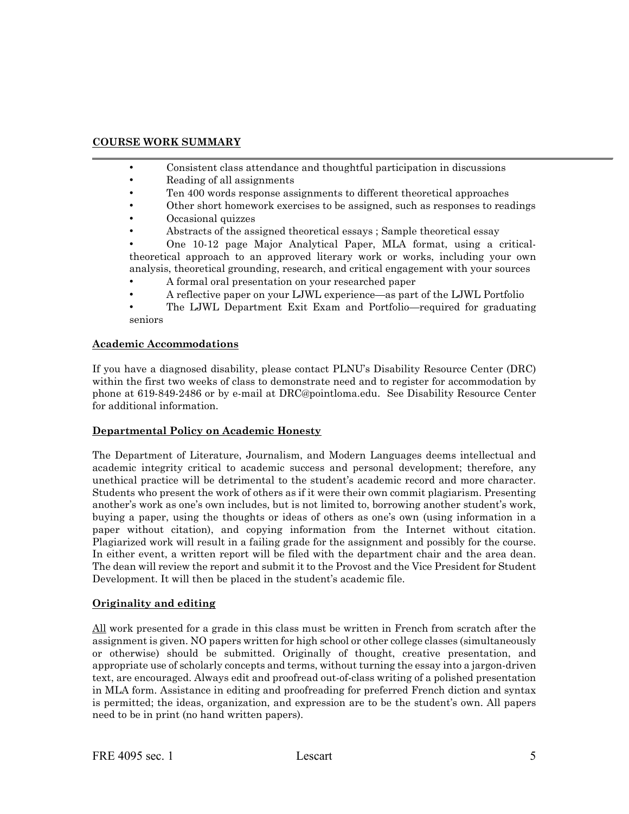# **COURSE WORK SUMMARY**

- Consistent class attendance and thoughtful participation in discussions
- Reading of all assignments
- Ten 400 words response assignments to different theoretical approaches
- Other short homework exercises to be assigned, such as responses to readings
- Occasional quizzes
- Abstracts of the assigned theoretical essays ; Sample theoretical essay

• One 10-12 page Major Analytical Paper, MLA format, using a criticaltheoretical approach to an approved literary work or works, including your own analysis, theoretical grounding, research, and critical engagement with your sources

- A formal oral presentation on your researched paper
- A reflective paper on your LJWL experience—as part of the LJWL Portfolio
- The LJWL Department Exit Exam and Portfolio—required for graduating seniors

### **Academic Accommodations**

If you have a diagnosed disability, please contact PLNU's Disability Resource Center (DRC) within the first two weeks of class to demonstrate need and to register for accommodation by phone at 619-849-2486 or by e-mail at DRC@pointloma.edu. See Disability Resource Center for additional information.

### **Departmental Policy on Academic Honesty**

The Department of Literature, Journalism, and Modern Languages deems intellectual and academic integrity critical to academic success and personal development; therefore, any unethical practice will be detrimental to the student's academic record and more character. Students who present the work of others as if it were their own commit plagiarism. Presenting another's work as one's own includes, but is not limited to, borrowing another student's work, buying a paper, using the thoughts or ideas of others as one's own (using information in a paper without citation), and copying information from the Internet without citation. Plagiarized work will result in a failing grade for the assignment and possibly for the course. In either event, a written report will be filed with the department chair and the area dean. The dean will review the report and submit it to the Provost and the Vice President for Student Development. It will then be placed in the student's academic file.

# **Originality and editing**

All work presented for a grade in this class must be written in French from scratch after the assignment is given. NO papers written for high school or other college classes (simultaneously or otherwise) should be submitted. Originally of thought, creative presentation, and appropriate use of scholarly concepts and terms, without turning the essay into a jargon-driven text, are encouraged. Always edit and proofread out-of-class writing of a polished presentation in MLA form. Assistance in editing and proofreading for preferred French diction and syntax is permitted; the ideas, organization, and expression are to be the student's own. All papers need to be in print (no hand written papers).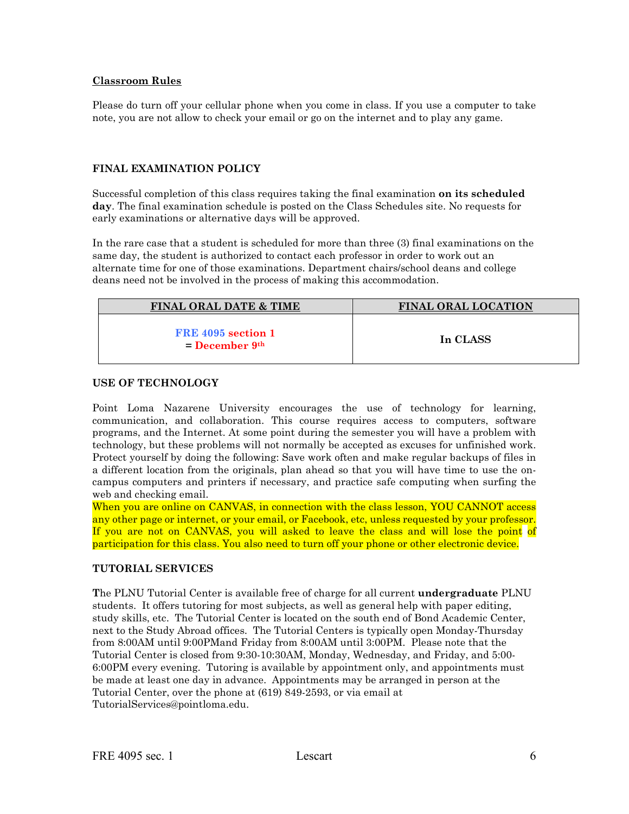### **Classroom Rules**

Please do turn off your cellular phone when you come in class. If you use a computer to take note, you are not allow to check your email or go on the internet and to play any game.

## **FINAL EXAMINATION POLICY**

Successful completion of this class requires taking the final examination **on its scheduled day**. The final examination schedule is posted on the Class Schedules site. No requests for early examinations or alternative days will be approved.

In the rare case that a student is scheduled for more than three (3) final examinations on the same day, the student is authorized to contact each professor in order to work out an alternate time for one of those examinations. Department chairs/school deans and college deans need not be involved in the process of making this accommodation.

| <b>FINAL ORAL DATE &amp; TIME</b>        | <b>FINAL ORAL LOCATION</b> |
|------------------------------------------|----------------------------|
| FRE 4095 section 1<br>$=$ December $9th$ | In CLASS                   |

### **USE OF TECHNOLOGY**

Point Loma Nazarene University encourages the use of technology for learning, communication, and collaboration. This course requires access to computers, software programs, and the Internet. At some point during the semester you will have a problem with technology, but these problems will not normally be accepted as excuses for unfinished work. Protect yourself by doing the following: Save work often and make regular backups of files in a different location from the originals, plan ahead so that you will have time to use the oncampus computers and printers if necessary, and practice safe computing when surfing the web and checking email.

When you are online on CANVAS, in connection with the class lesson, YOU CANNOT access any other page or internet, or your email, or Facebook, etc, unless requested by your professor. If you are not on CANVAS, you will asked to leave the class and will lose the point of participation for this class. You also need to turn off your phone or other electronic device.

# **TUTORIAL SERVICES**

**T**he PLNU Tutorial Center is available free of charge for all current **undergraduate** PLNU students. It offers tutoring for most subjects, as well as general help with paper editing, study skills, etc. The Tutorial Center is located on the south end of Bond Academic Center, next to the Study Abroad offices. The Tutorial Centers is typically open Monday-Thursday from 8:00AM until 9:00PMand Friday from 8:00AM until 3:00PM. Please note that the Tutorial Center is closed from 9:30-10:30AM, Monday, Wednesday, and Friday, and 5:00- 6:00PM every evening. Tutoring is available by appointment only, and appointments must be made at least one day in advance. Appointments may be arranged in person at the Tutorial Center, over the phone at (619) 849-2593, or via email at TutorialServices@pointloma.edu.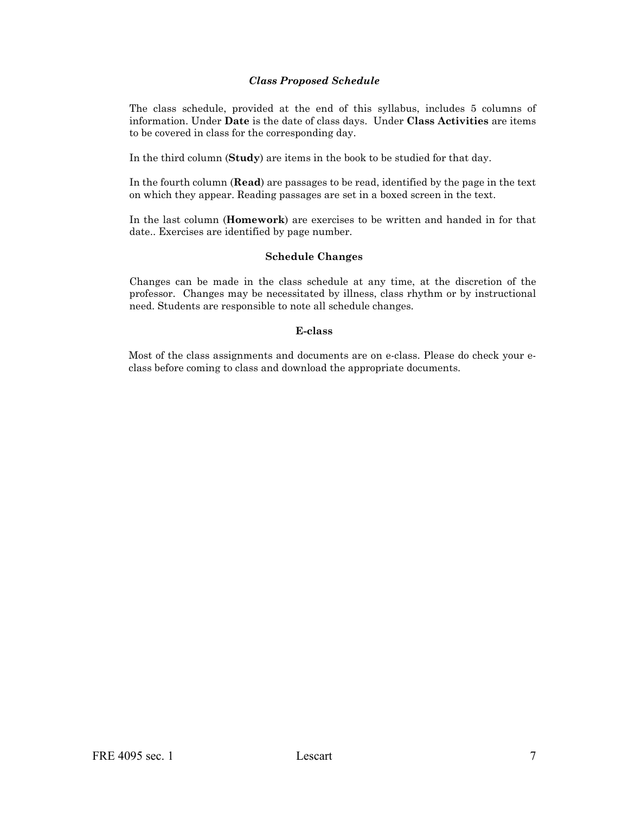### *Class Proposed Schedule*

The class schedule, provided at the end of this syllabus, includes 5 columns of information. Under **Date** is the date of class days. Under **Class Activities** are items to be covered in class for the corresponding day.

In the third column (**Study**) are items in the book to be studied for that day.

In the fourth column (**Read**) are passages to be read, identified by the page in the text on which they appear. Reading passages are set in a boxed screen in the text.

In the last column (**Homework**) are exercises to be written and handed in for that date.. Exercises are identified by page number.

### **Schedule Changes**

Changes can be made in the class schedule at any time, at the discretion of the professor. Changes may be necessitated by illness, class rhythm or by instructional need. Students are responsible to note all schedule changes.

#### **E-class**

Most of the class assignments and documents are on e-class. Please do check your eclass before coming to class and download the appropriate documents.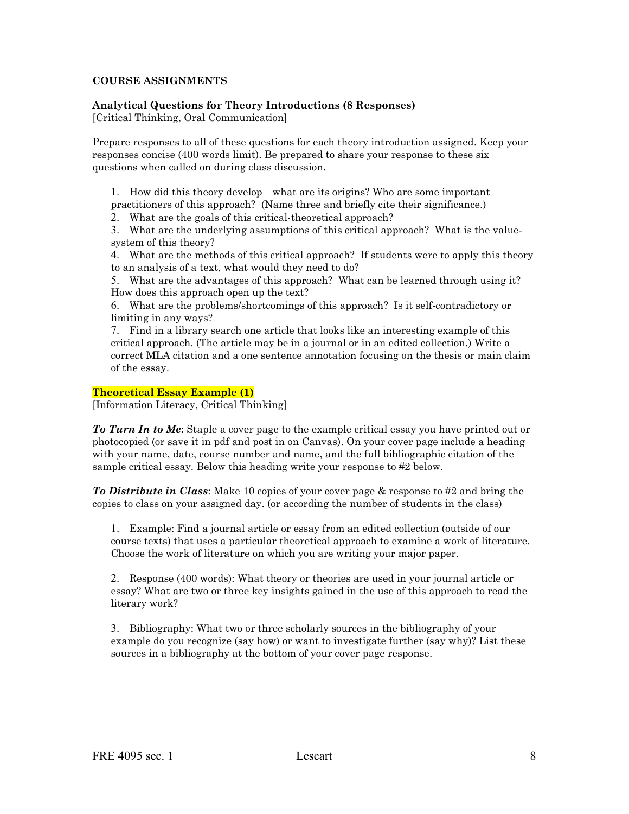### **COURSE ASSIGNMENTS**

### **Analytical Questions for Theory Introductions (8 Responses)**  [Critical Thinking, Oral Communication]

Prepare responses to all of these questions for each theory introduction assigned. Keep your responses concise (400 words limit). Be prepared to share your response to these six questions when called on during class discussion.

1. How did this theory develop—what are its origins? Who are some important

practitioners of this approach? (Name three and briefly cite their significance.)

2. What are the goals of this critical-theoretical approach?

3. What are the underlying assumptions of this critical approach? What is the valuesystem of this theory?

4. What are the methods of this critical approach? If students were to apply this theory to an analysis of a text, what would they need to do?

5. What are the advantages of this approach? What can be learned through using it? How does this approach open up the text?

6. What are the problems/shortcomings of this approach? Is it self-contradictory or limiting in any ways?

7. Find in a library search one article that looks like an interesting example of this critical approach. (The article may be in a journal or in an edited collection.) Write a correct MLA citation and a one sentence annotation focusing on the thesis or main claim of the essay.

### **Theoretical Essay Example (1)**

[Information Literacy, Critical Thinking]

*To Turn In to Me*: Staple a cover page to the example critical essay you have printed out or photocopied (or save it in pdf and post in on Canvas). On your cover page include a heading with your name, date, course number and name, and the full bibliographic citation of the sample critical essay. Below this heading write your response to #2 below.

*To Distribute in Class*: Make 10 copies of your cover page & response to #2 and bring the copies to class on your assigned day. (or according the number of students in the class)

1. Example: Find a journal article or essay from an edited collection (outside of our course texts) that uses a particular theoretical approach to examine a work of literature. Choose the work of literature on which you are writing your major paper.

2. Response (400 words): What theory or theories are used in your journal article or essay? What are two or three key insights gained in the use of this approach to read the literary work?

3. Bibliography: What two or three scholarly sources in the bibliography of your example do you recognize (say how) or want to investigate further (say why)? List these sources in a bibliography at the bottom of your cover page response.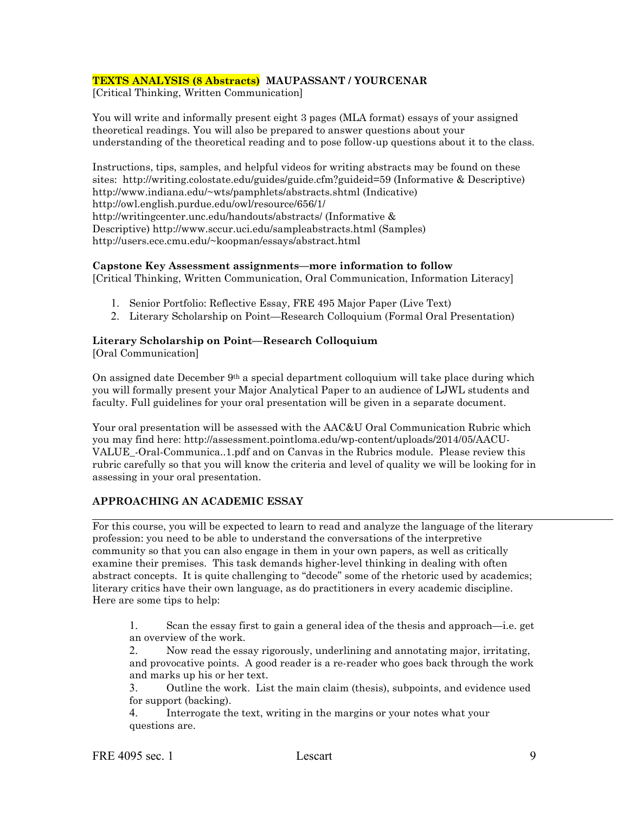### **TEXTS ANALYSIS (8 Abstracts) MAUPASSANT / YOURCENAR**

[Critical Thinking, Written Communication]

You will write and informally present eight 3 pages (MLA format) essays of your assigned theoretical readings. You will also be prepared to answer questions about your understanding of the theoretical reading and to pose follow-up questions about it to the class.

Instructions, tips, samples, and helpful videos for writing abstracts may be found on these sites: http://writing.colostate.edu/guides/guide.cfm?guideid=59 (Informative & Descriptive) http://www.indiana.edu/~wts/pamphlets/abstracts.shtml (Indicative) http://owl.english.purdue.edu/owl/resource/656/1/ http://writingcenter.unc.edu/handouts/abstracts/ (Informative & Descriptive) http://www.sccur.uci.edu/sampleabstracts.html (Samples) http://users.ece.cmu.edu/~koopman/essays/abstract.html

### **Capstone Key Assessment assignments—more information to follow**

[Critical Thinking, Written Communication, Oral Communication, Information Literacy]

- 1. Senior Portfolio: Reflective Essay, FRE 495 Major Paper (Live Text)
- 2. Literary Scholarship on Point—Research Colloquium (Formal Oral Presentation)

# **Literary Scholarship on Point—Research Colloquium**

[Oral Communication]

On assigned date December 9th a special department colloquium will take place during which you will formally present your Major Analytical Paper to an audience of LJWL students and faculty. Full guidelines for your oral presentation will be given in a separate document.

Your oral presentation will be assessed with the AAC&U Oral Communication Rubric which you may find here: http://assessment.pointloma.edu/wp-content/uploads/2014/05/AACU-VALUE\_-Oral-Communica..1.pdf and on Canvas in the Rubrics module. Please review this rubric carefully so that you will know the criteria and level of quality we will be looking for in assessing in your oral presentation.

# **APPROACHING AN ACADEMIC ESSAY**

For this course, you will be expected to learn to read and analyze the language of the literary profession: you need to be able to understand the conversations of the interpretive community so that you can also engage in them in your own papers, as well as critically examine their premises. This task demands higher-level thinking in dealing with often abstract concepts. It is quite challenging to "decode" some of the rhetoric used by academics; literary critics have their own language, as do practitioners in every academic discipline. Here are some tips to help:

1. Scan the essay first to gain a general idea of the thesis and approach—i.e. get an overview of the work.

2. Now read the essay rigorously, underlining and annotating major, irritating, and provocative points. A good reader is a re-reader who goes back through the work and marks up his or her text.

3. Outline the work. List the main claim (thesis), subpoints, and evidence used for support (backing).

4. Interrogate the text, writing in the margins or your notes what your questions are.

FRE 4095 sec. 1 Lescart 1995 Sec. 1 2006 1997 1998 Sec. 1 2006 1997 1998 9